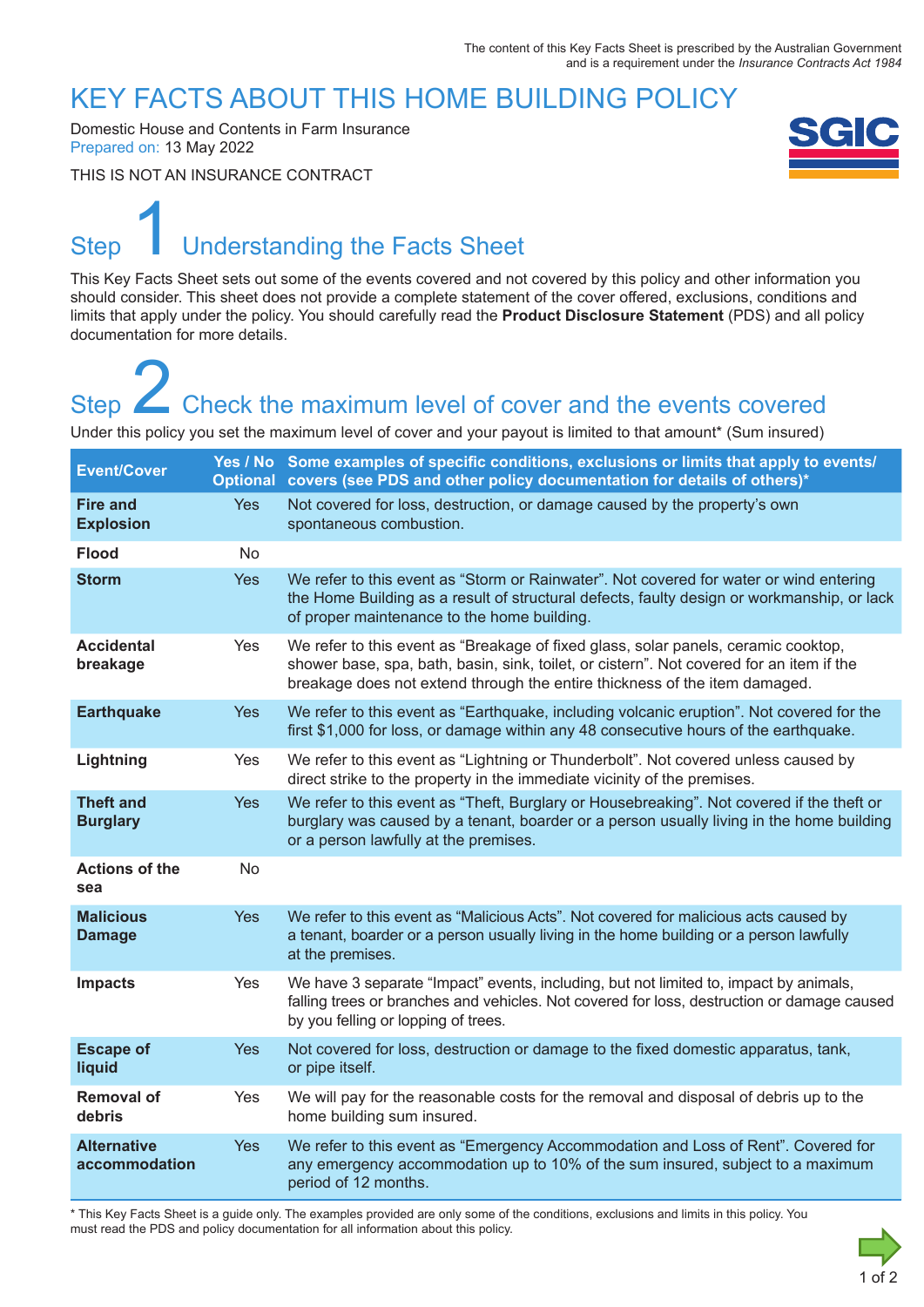### KEY FACTS ABOUT THIS HOME BUILDING POLICY

Domestic House and Contents in Farm Insurance Prepared on: 13 May 2022

THIS IS NOT AN INSURANCE CONTRACT



# Step Understanding the Facts Sheet 1

This Key Facts Sheet sets out some of the events covered and not covered by this policy and other information you should consider. This sheet does not provide a complete statement of the cover offered, exclusions, conditions and limits that apply under the policy. You should carefully read the **Product Disclosure Statement** (PDS) and all policy documentation for more details.

# Step **Check the maximum level of cover and the events covered** Step<br>
2 Check the maximum level of cover and the events covered<br>
Under this policy you set the maximum level of cover and your payout is limited to that amount\* (Sum insured)

| <b>Event/Cover</b>                  |                | Yes / No Some examples of specific conditions, exclusions or limits that apply to events/<br>Optional covers (see PDS and other policy documentation for details of others)*                                                                                 |
|-------------------------------------|----------------|--------------------------------------------------------------------------------------------------------------------------------------------------------------------------------------------------------------------------------------------------------------|
| <b>Fire and</b><br><b>Explosion</b> | <b>Yes</b>     | Not covered for loss, destruction, or damage caused by the property's own<br>spontaneous combustion.                                                                                                                                                         |
| <b>Flood</b>                        | N <sub>o</sub> |                                                                                                                                                                                                                                                              |
| <b>Storm</b>                        | <b>Yes</b>     | We refer to this event as "Storm or Rainwater". Not covered for water or wind entering<br>the Home Building as a result of structural defects, faulty design or workmanship, or lack<br>of proper maintenance to the home building.                          |
| <b>Accidental</b><br>breakage       | Yes            | We refer to this event as "Breakage of fixed glass, solar panels, ceramic cooktop,<br>shower base, spa, bath, basin, sink, toilet, or cistern". Not covered for an item if the<br>breakage does not extend through the entire thickness of the item damaged. |
| <b>Earthquake</b>                   | <b>Yes</b>     | We refer to this event as "Earthquake, including volcanic eruption". Not covered for the<br>first \$1,000 for loss, or damage within any 48 consecutive hours of the earthquake.                                                                             |
| Lightning                           | Yes            | We refer to this event as "Lightning or Thunderbolt". Not covered unless caused by<br>direct strike to the property in the immediate vicinity of the premises.                                                                                               |
| <b>Theft and</b><br><b>Burglary</b> | <b>Yes</b>     | We refer to this event as "Theft, Burglary or Housebreaking". Not covered if the theft or<br>burglary was caused by a tenant, boarder or a person usually living in the home building<br>or a person lawfully at the premises.                               |
| <b>Actions of the</b><br>sea        | <b>No</b>      |                                                                                                                                                                                                                                                              |
| <b>Malicious</b><br><b>Damage</b>   | <b>Yes</b>     | We refer to this event as "Malicious Acts". Not covered for malicious acts caused by<br>a tenant, boarder or a person usually living in the home building or a person lawfully<br>at the premises.                                                           |
| <b>Impacts</b>                      | Yes            | We have 3 separate "Impact" events, including, but not limited to, impact by animals,<br>falling trees or branches and vehicles. Not covered for loss, destruction or damage caused<br>by you felling or lopping of trees.                                   |
| <b>Escape of</b><br>liquid          | <b>Yes</b>     | Not covered for loss, destruction or damage to the fixed domestic apparatus, tank,<br>or pipe itself.                                                                                                                                                        |
| <b>Removal of</b><br>debris         | Yes            | We will pay for the reasonable costs for the removal and disposal of debris up to the<br>home building sum insured.                                                                                                                                          |
| <b>Alternative</b><br>accommodation | <b>Yes</b>     | We refer to this event as "Emergency Accommodation and Loss of Rent". Covered for<br>any emergency accommodation up to 10% of the sum insured, subject to a maximum<br>period of 12 months.                                                                  |

\* This Key Facts Sheet is a guide only. The examples provided are only some of the conditions, exclusions and limits in this policy. You must read the PDS and policy documentation for all information about this policy.